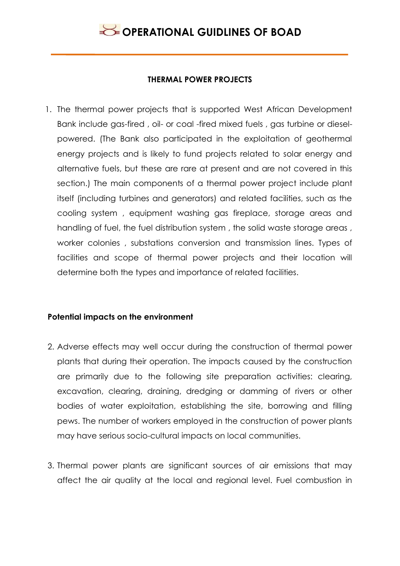#### **THERMAL POWER PROJECTS**

1. The thermal power projects that is supported West African Development Bank include gas-fired , oil- or coal -fired mixed fuels , gas turbine or dieselpowered. (The Bank also participated in the exploitation of geothermal energy projects and is likely to fund projects related to solar energy and alternative fuels, but these are rare at present and are not covered in this section.) The main components of a thermal power project include plant itself (including turbines and generators) and related facilities, such as the cooling system , equipment washing gas fireplace, storage areas and handling of fuel, the fuel distribution system , the solid waste storage areas , worker colonies , substations conversion and transmission lines. Types of facilities and scope of thermal power projects and their location will determine both the types and importance of related facilities.

### **Potential impacts on the environment**

- 2. Adverse effects may well occur during the construction of thermal power plants that during their operation. The impacts caused by the construction are primarily due to the following site preparation activities: clearing, excavation, clearing, draining, dredging or damming of rivers or other bodies of water exploitation, establishing the site, borrowing and filling pews. The number of workers employed in the construction of power plants may have serious socio-cultural impacts on local communities.
- 3. Thermal power plants are significant sources of air emissions that may affect the air quality at the local and regional level. Fuel combustion in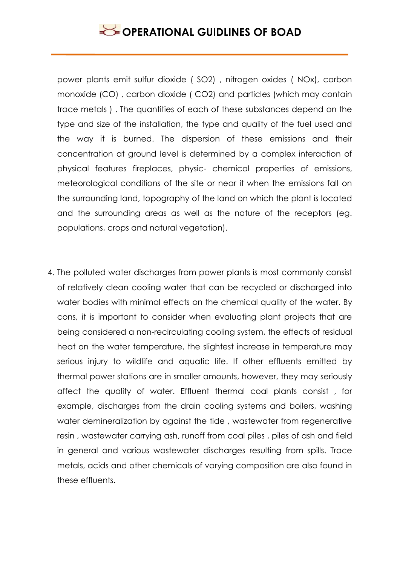power plants emit sulfur dioxide ( SO2) , nitrogen oxides ( NOx), carbon monoxide (CO) , carbon dioxide ( CO2) and particles (which may contain trace metals ) . The quantities of each of these substances depend on the type and size of the installation, the type and quality of the fuel used and the way it is burned. The dispersion of these emissions and their concentration at ground level is determined by a complex interaction of physical features fireplaces, physic- chemical properties of emissions, meteorological conditions of the site or near it when the emissions fall on the surrounding land, topography of the land on which the plant is located and the surrounding areas as well as the nature of the receptors (eg. populations, crops and natural vegetation).

4. The polluted water discharges from power plants is most commonly consist of relatively clean cooling water that can be recycled or discharged into water bodies with minimal effects on the chemical quality of the water. By cons, it is important to consider when evaluating plant projects that are being considered a non-recirculating cooling system, the effects of residual heat on the water temperature, the slightest increase in temperature may serious injury to wildlife and aquatic life. If other effluents emitted by thermal power stations are in smaller amounts, however, they may seriously affect the quality of water. Effluent thermal coal plants consist , for example, discharges from the drain cooling systems and boilers, washing water demineralization by against the tide, wastewater from regenerative resin , wastewater carrying ash, runoff from coal piles , piles of ash and field in general and various wastewater discharges resulting from spills. Trace metals, acids and other chemicals of varying composition are also found in these effluents.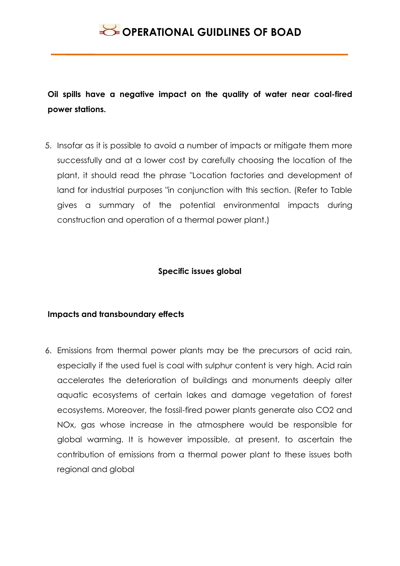**Oil spills have a negative impact on the quality of water near coal-fired power stations.**

5. Insofar as it is possible to avoid a number of impacts or mitigate them more successfully and at a lower cost by carefully choosing the location of the plant, it should read the phrase "Location factories and development of land for industrial purposes "in conjunction with this section. (Refer to Table gives a summary of the potential environmental impacts during construction and operation of a thermal power plant.)

### **Specific issues global**

### **Impacts and transboundary effects**

6. Emissions from thermal power plants may be the precursors of acid rain, especially if the used fuel is coal with sulphur content is very high. Acid rain accelerates the deterioration of buildings and monuments deeply alter aquatic ecosystems of certain lakes and damage vegetation of forest ecosystems. Moreover, the fossil-fired power plants generate also CO2 and NOx, gas whose increase in the atmosphere would be responsible for global warming. It is however impossible, at present, to ascertain the contribution of emissions from a thermal power plant to these issues both regional and global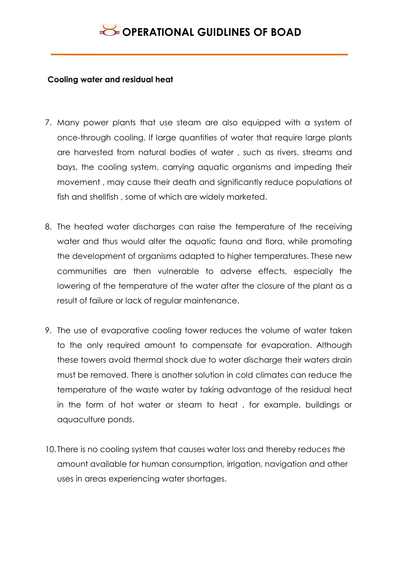#### **Cooling water and residual heat**

- 7. Many power plants that use steam are also equipped with a system of once-through cooling. If large quantities of water that require large plants are harvested from natural bodies of water , such as rivers, streams and bays, the cooling system, carrying aquatic organisms and impeding their movement , may cause their death and significantly reduce populations of fish and shellfish , some of which are widely marketed.
- 8. The heated water discharges can raise the temperature of the receiving water and thus would alter the aquatic fauna and flora, while promoting the development of organisms adapted to higher temperatures. These new communities are then vulnerable to adverse effects, especially the lowering of the temperature of the water after the closure of the plant as a result of failure or lack of regular maintenance.
- 9. The use of evaporative cooling tower reduces the volume of water taken to the only required amount to compensate for evaporation. Although these towers avoid thermal shock due to water discharge their waters drain must be removed. There is another solution in cold climates can reduce the temperature of the waste water by taking advantage of the residual heat in the form of hot water or steam to heat , for example, buildings or aquaculture ponds.
- 10. There is no cooling system that causes water loss and thereby reduces the amount available for human consumption, irrigation, navigation and other uses in areas experiencing water shortages.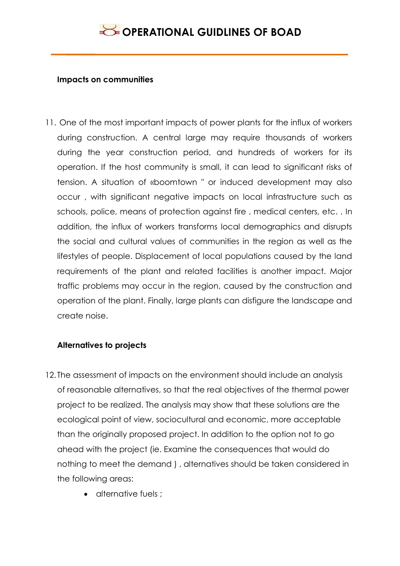#### **Impacts on communities**

11. One of the most important impacts of power plants for the influx of workers during construction. A central large may require thousands of workers during the year construction period, and hundreds of workers for its operation. If the host community is small, it can lead to significant risks of tension. A situation of «boomtown " or induced development may also occur , with significant negative impacts on local infrastructure such as schools, police, means of protection against fire , medical centers, etc. . In addition, the influx of workers transforms local demographics and disrupts the social and cultural values of communities in the region as well as the lifestyles of people. Displacement of local populations caused by the land requirements of the plant and related facilities is another impact. Major traffic problems may occur in the region, caused by the construction and operation of the plant. Finally, large plants can disfigure the landscape and create noise.

#### **Alternatives to projects**

- 12. The assessment of impacts on the environment should include an analysis of reasonable alternatives, so that the real objectives of the thermal power project to be realized. The analysis may show that these solutions are the ecological point of view, sociocultural and economic, more acceptable than the originally proposed project. In addition to the option not to go ahead with the project (ie. Examine the consequences that would do nothing to meet the demand ) , alternatives should be taken considered in the following areas:
	- alternative fuels :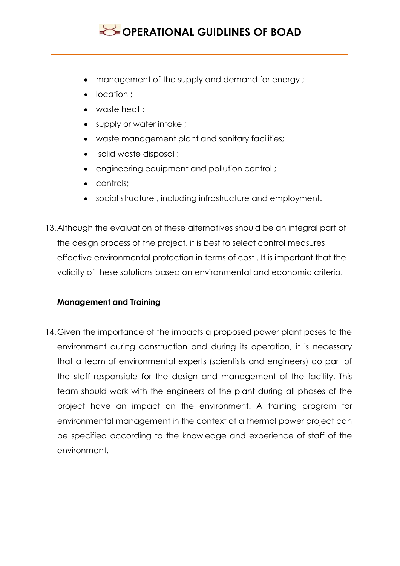- management of the supply and demand for energy ;
- location ;
- waste heat ;
- supply or water intake ;
- waste management plant and sanitary facilities;
- solid waste disposal ;
- engineering equipment and pollution control ;
- controls;
- social structure , including infrastructure and employment.
- 13.Although the evaluation of these alternatives should be an integral part of the design process of the project, it is best to select control measures effective environmental protection in terms of cost . It is important that the validity of these solutions based on environmental and economic criteria.

### **Management and Training**

14.Given the importance of the impacts a proposed power plant poses to the environment during construction and during its operation, it is necessary that a team of environmental experts (scientists and engineers) do part of the staff responsible for the design and management of the facility. This team should work with the engineers of the plant during all phases of the project have an impact on the environment. A training program for environmental management in the context of a thermal power project can be specified according to the knowledge and experience of staff of the environment.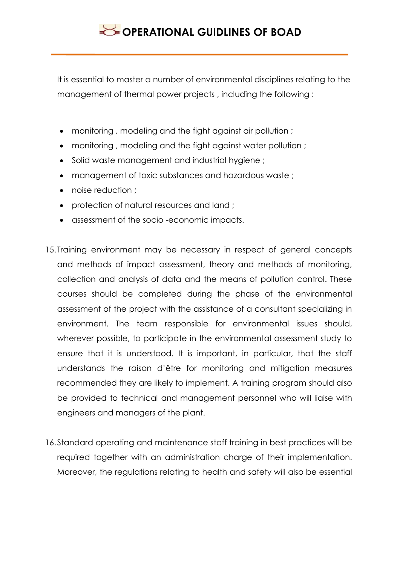It is essential to master a number of environmental disciplines relating to the management of thermal power projects , including the following :

- monitoring , modeling and the fight against air pollution ;
- monitoring , modeling and the fight against water pollution ;
- Solid waste management and industrial hygiene;
- management of toxic substances and hazardous waste ;
- noise reduction :
- protection of natural resources and land ;
- assessment of the socio -economic impacts.
- 15. Training environment may be necessary in respect of general concepts and methods of impact assessment, theory and methods of monitoring, collection and analysis of data and the means of pollution control. These courses should be completed during the phase of the environmental assessment of the project with the assistance of a consultant specializing in environment. The team responsible for environmental issues should, wherever possible, to participate in the environmental assessment study to ensure that it is understood. It is important, in particular, that the staff understands the raison d'être for monitoring and mitigation measures recommended they are likely to implement. A training program should also be provided to technical and management personnel who will liaise with engineers and managers of the plant.
- 16.Standard operating and maintenance staff training in best practices will be required together with an administration charge of their implementation. Moreover, the regulations relating to health and safety will also be essential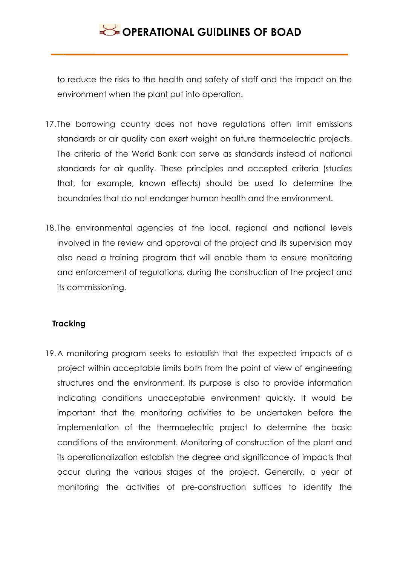to reduce the risks to the health and safety of staff and the impact on the environment when the plant put into operation.

- 17. The borrowing country does not have regulations often limit emissions standards or air quality can exert weight on future thermoelectric projects. The criteria of the World Bank can serve as standards instead of national standards for air quality. These principles and accepted criteria (studies that, for example, known effects) should be used to determine the boundaries that do not endanger human health and the environment.
- 18. The environmental agencies at the local, regional and national levels involved in the review and approval of the project and its supervision may also need a training program that will enable them to ensure monitoring and enforcement of regulations, during the construction of the project and its commissioning.

### **Tracking**

19.A monitoring program seeks to establish that the expected impacts of a project within acceptable limits both from the point of view of engineering structures and the environment. Its purpose is also to provide information indicating conditions unacceptable environment quickly. It would be important that the monitoring activities to be undertaken before the implementation of the thermoelectric project to determine the basic conditions of the environment. Monitoring of construction of the plant and its operationalization establish the degree and significance of impacts that occur during the various stages of the project. Generally, a year of monitoring the activities of pre-construction suffices to identify the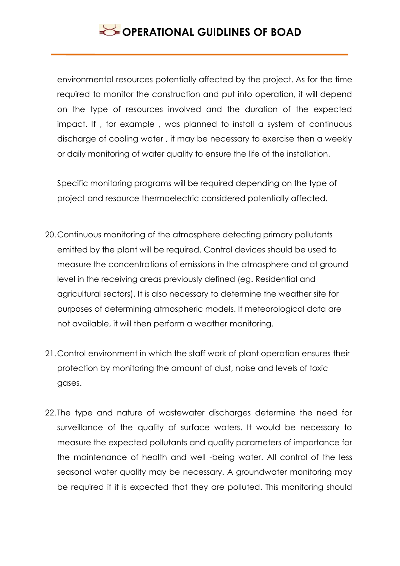environmental resources potentially affected by the project. As for the time required to monitor the construction and put into operation, it will depend on the type of resources involved and the duration of the expected impact. If , for example , was planned to install a system of continuous discharge of cooling water , it may be necessary to exercise then a weekly or daily monitoring of water quality to ensure the life of the installation.

Specific monitoring programs will be required depending on the type of project and resource thermoelectric considered potentially affected.

- 20.Continuous monitoring of the atmosphere detecting primary pollutants emitted by the plant will be required. Control devices should be used to measure the concentrations of emissions in the atmosphere and at ground level in the receiving areas previously defined (eg. Residential and agricultural sectors). It is also necessary to determine the weather site for purposes of determining atmospheric models. If meteorological data are not available, it will then perform a weather monitoring.
- 21.Control environment in which the staff work of plant operation ensures their protection by monitoring the amount of dust, noise and levels of toxic gases.
- 22. The type and nature of wastewater discharges determine the need for surveillance of the quality of surface waters. It would be necessary to measure the expected pollutants and quality parameters of importance for the maintenance of health and well -being water. All control of the less seasonal water quality may be necessary. A groundwater monitoring may be required if it is expected that they are polluted. This monitoring should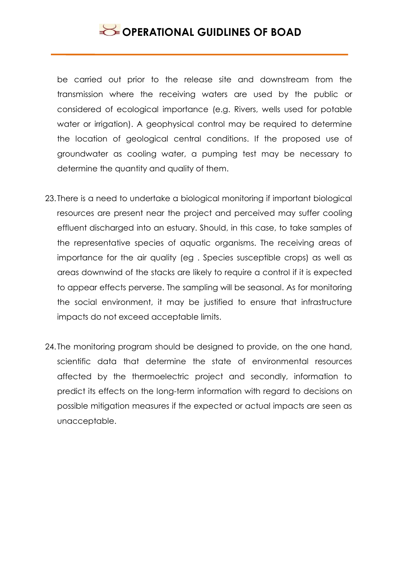be carried out prior to the release site and downstream from the transmission where the receiving waters are used by the public or considered of ecological importance (e.g. Rivers, wells used for potable water or irrigation). A geophysical control may be required to determine the location of geological central conditions. If the proposed use of groundwater as cooling water, a pumping test may be necessary to determine the quantity and quality of them.

- 23. There is a need to undertake a biological monitoring if important biological resources are present near the project and perceived may suffer cooling effluent discharged into an estuary. Should, in this case, to take samples of the representative species of aquatic organisms. The receiving areas of importance for the air quality (eg . Species susceptible crops) as well as areas downwind of the stacks are likely to require a control if it is expected to appear effects perverse. The sampling will be seasonal. As for monitoring the social environment, it may be justified to ensure that infrastructure impacts do not exceed acceptable limits.
- 24. The monitoring program should be designed to provide, on the one hand, scientific data that determine the state of environmental resources affected by the thermoelectric project and secondly, information to predict its effects on the long-term information with regard to decisions on possible mitigation measures if the expected or actual impacts are seen as unacceptable.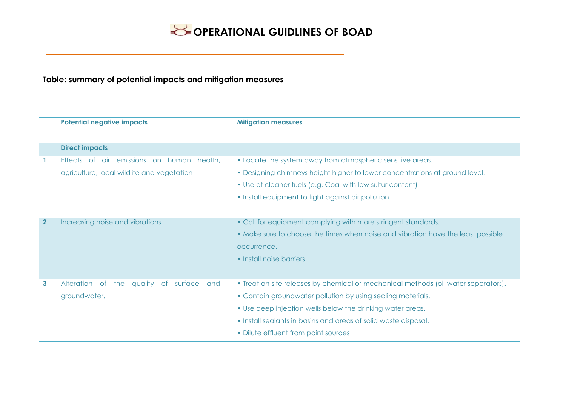### **Table: summary of potential impacts and mitigation measures**

| <b>Potential negative impacts</b>                    | <b>Mitigation measures</b>                                                         |
|------------------------------------------------------|------------------------------------------------------------------------------------|
| <b>Direct impacts</b>                                |                                                                                    |
| Effects of air emissions on human health,            | • Locate the system away from atmospheric sensitive areas.                         |
| agriculture, local wildlife and vegetation           | • Designing chimneys height higher to lower concentrations at ground level.        |
|                                                      | • Use of cleaner fuels (e.g. Coal with low sulfur content)                         |
|                                                      | • Install equipment to fight against air pollution                                 |
|                                                      |                                                                                    |
| Increasing noise and vibrations                      | • Call for equipment complying with more stringent standards.                      |
|                                                      | • Make sure to choose the times when noise and vibration have the least possible   |
|                                                      | occurrence.                                                                        |
|                                                      | • Install noise barriers                                                           |
|                                                      |                                                                                    |
| Alteration of<br>quality<br>of surface<br>the<br>and | • Treat on-site releases by chemical or mechanical methods (oil-water separators). |
| groundwater.                                         | • Contain groundwater pollution by using sealing materials.                        |
|                                                      | • Use deep injection wells below the drinking water areas.                         |
|                                                      | • Install sealants in basins and areas of solid waste disposal.                    |
|                                                      | • Dilute effluent from point sources                                               |
|                                                      |                                                                                    |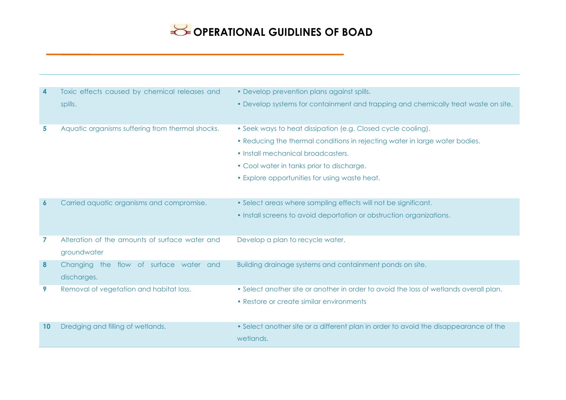| 4                | Toxic effects caused by chemical releases and    | • Develop prevention plans against spills.                                            |
|------------------|--------------------------------------------------|---------------------------------------------------------------------------------------|
|                  | spills.                                          | • Develop systems for containment and trapping and chemically treat waste on site.    |
| 5                | Aquatic organisms suffering from thermal shocks. | • Seek ways to heat dissipation (e.g. Closed cycle cooling).                          |
|                  |                                                  | • Reducing the thermal conditions in rejecting water in large water bodies.           |
|                  |                                                  | • Install mechanical broadcasters.                                                    |
|                  |                                                  | • Cool water in tanks prior to discharge.                                             |
|                  |                                                  | • Explore opportunities for using waste heat.                                         |
|                  |                                                  |                                                                                       |
| $\boldsymbol{6}$ | Carried aquatic organisms and compromise.        | • Select areas where sampling effects will not be significant.                        |
|                  |                                                  | • Install screens to avoid deportation or obstruction organizations.                  |
|                  |                                                  |                                                                                       |
| 7                | Alteration of the amounts of surface water and   | Develop a plan to recycle water.                                                      |
|                  | groundwater                                      |                                                                                       |
| 8                | Changing the flow of surface water and           | Building drainage systems and containment ponds on site.                              |
|                  | discharges.                                      |                                                                                       |
| 9                | Removal of vegetation and habitat loss.          | • Select another site or another in order to avoid the loss of wetlands overall plan. |
|                  |                                                  | • Restore or create similar environments                                              |
|                  |                                                  |                                                                                       |
| 10               | Dredging and filling of wetlands.                | • Select another site or a different plan in order to avoid the disappearance of the  |
|                  |                                                  | wetlands.                                                                             |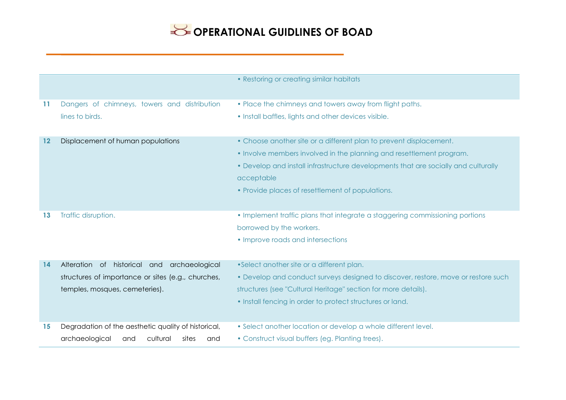|         |                                                                                                                                     | • Restoring or creating similar habitats                                                                                                                                                                                                                                                           |
|---------|-------------------------------------------------------------------------------------------------------------------------------------|----------------------------------------------------------------------------------------------------------------------------------------------------------------------------------------------------------------------------------------------------------------------------------------------------|
| 11      | Dangers of chimneys, towers and distribution<br>lines to birds.                                                                     | • Place the chimneys and towers away from flight paths.<br>• Install baffles, lights and other devices visible.                                                                                                                                                                                    |
| $12 \,$ | Displacement of human populations                                                                                                   | • Choose another site or a different plan to prevent displacement.<br>• Involve members involved in the planning and resettlement program.<br>• Develop and install infrastructure developments that are socially and culturally<br>acceptable<br>• Provide places of resettlement of populations. |
| 13      | Traffic disruption.                                                                                                                 | • Implement traffic plans that integrate a staggering commissioning portions<br>borrowed by the workers.<br>• Improve roads and intersections                                                                                                                                                      |
| 14      | Alteration of historical and archaeological<br>structures of importance or sites (e.g., churches,<br>temples, mosques, cemeteries). | •Select another site or a different plan.<br>• Develop and conduct surveys designed to discover, restore, move or restore such<br>structures (see "Cultural Heritage" section for more details).<br>• Install fencing in order to protect structures or land.                                      |
| 15      | Degradation of the aesthetic quality of historical,<br>cultural<br>archaeological<br>sites<br>and<br>and                            | • Select another location or develop a whole different level.<br>• Construct visual buffers (eg. Planting trees).                                                                                                                                                                                  |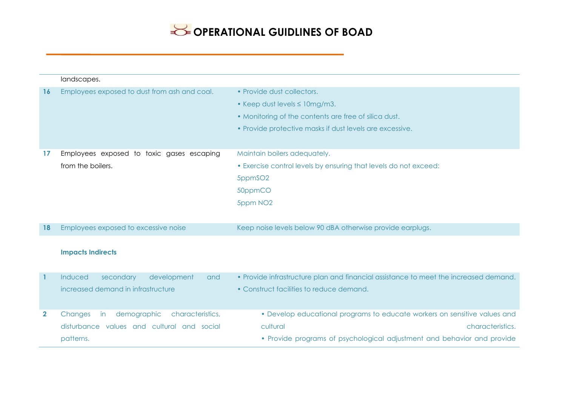|                | landscapes.                                      |                                                                                      |
|----------------|--------------------------------------------------|--------------------------------------------------------------------------------------|
| 16             | Employees exposed to dust from ash and coal.     | • Provide dust collectors.                                                           |
|                |                                                  | • Keep dust levels $\leq 10$ mg/m3.                                                  |
|                |                                                  | • Monitoring of the contents are free of silica dust.                                |
|                |                                                  | • Provide protective masks if dust levels are excessive.                             |
|                |                                                  |                                                                                      |
| 17             | Employees exposed to toxic gases escaping        | Maintain boilers adequately.                                                         |
|                | from the boilers.                                | • Exercise control levels by ensuring that levels do not exceed:                     |
|                |                                                  | 5ppmSO2                                                                              |
|                |                                                  | 50ppmCO                                                                              |
|                |                                                  | 5ppm NO <sub>2</sub>                                                                 |
|                |                                                  |                                                                                      |
| 18             | Employees exposed to excessive noise             | Keep noise levels below 90 dBA otherwise provide earplugs.                           |
|                |                                                  |                                                                                      |
|                | <b>Impacts Indirects</b>                         |                                                                                      |
|                |                                                  |                                                                                      |
| $\overline{1}$ | Induced<br>secondary<br>development<br>and       | • Provide infrastructure plan and financial assistance to meet the increased demand. |
|                | increased demand in infrastructure               | • Construct facilities to reduce demand.                                             |
|                |                                                  |                                                                                      |
| $\mathbf{2}$   | demographic<br>characteristics,<br>Changes<br>in | • Develop educational programs to educate workers on sensitive values and            |
|                | disturbance values and cultural and social       | cultural<br>characteristics.                                                         |
|                | patterns.                                        | • Provide programs of psychological adjustment and behavior and provide              |
|                |                                                  |                                                                                      |